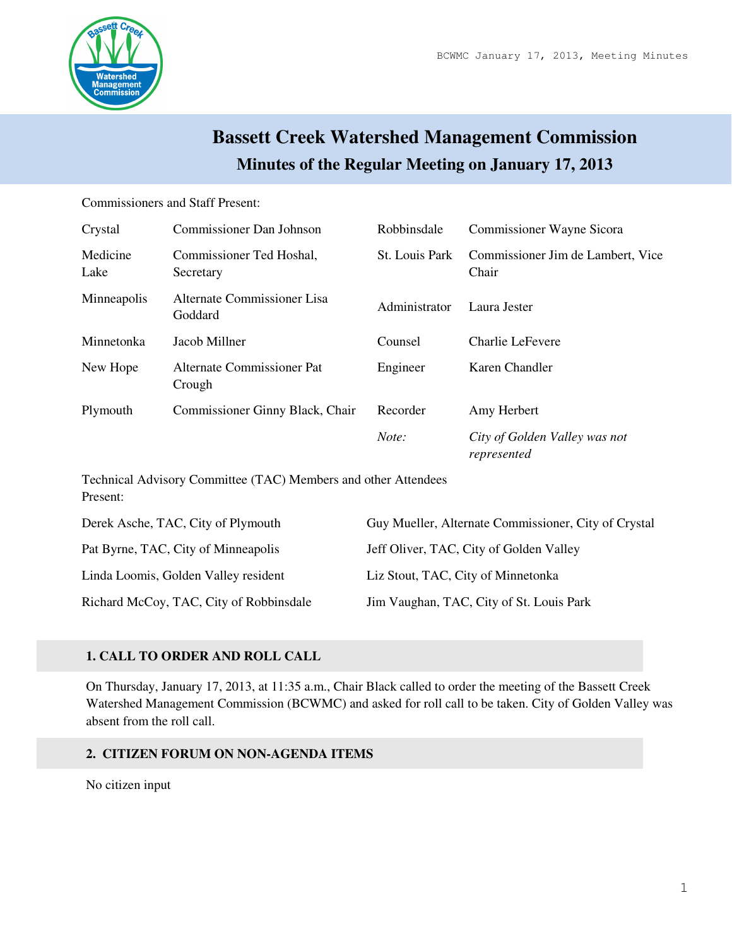

# **Bassett Creek Watershed Management Commission Minutes of the Regular Meeting on January 17, 2013**

#### Commissioners and Staff Present:

| Crystal          | <b>Commissioner Dan Johnson</b>        | Robbinsdale    | Commissioner Wayne Sicora                    |
|------------------|----------------------------------------|----------------|----------------------------------------------|
| Medicine<br>Lake | Commissioner Ted Hoshal,<br>Secretary  | St. Louis Park | Commissioner Jim de Lambert, Vice<br>Chair   |
| Minneapolis      | Alternate Commissioner Lisa<br>Goddard | Administrator  | Laura Jester                                 |
| Minnetonka       | Jacob Millner                          | Counsel        | Charlie LeFevere                             |
| New Hope         | Alternate Commissioner Pat<br>Crough   | Engineer       | Karen Chandler                               |
| Plymouth         | Commissioner Ginny Black, Chair        | Recorder       | Amy Herbert                                  |
|                  |                                        | Note:          | City of Golden Valley was not<br>represented |

Technical Advisory Committee (TAC) Members and other Attendees Present:

| Derek Asche, TAC, City of Plymouth      | Guy Mueller, Alternate Commissioner, City of Crystal |
|-----------------------------------------|------------------------------------------------------|
| Pat Byrne, TAC, City of Minneapolis     | Jeff Oliver, TAC, City of Golden Valley              |
| Linda Loomis, Golden Valley resident    | Liz Stout, TAC, City of Minnetonka                   |
| Richard McCoy, TAC, City of Robbinsdale | Jim Vaughan, TAC, City of St. Louis Park             |

# **1. CALL TO ORDER AND ROLL CALL**

On Thursday, January 17, 2013, at 11:35 a.m., Chair Black called to order the meeting of the Bassett Creek Watershed Management Commission (BCWMC) and asked for roll call to be taken. City of Golden Valley was absent from the roll call.

# **2. CITIZEN FORUM ON NON-AGENDA ITEMS**

No citizen input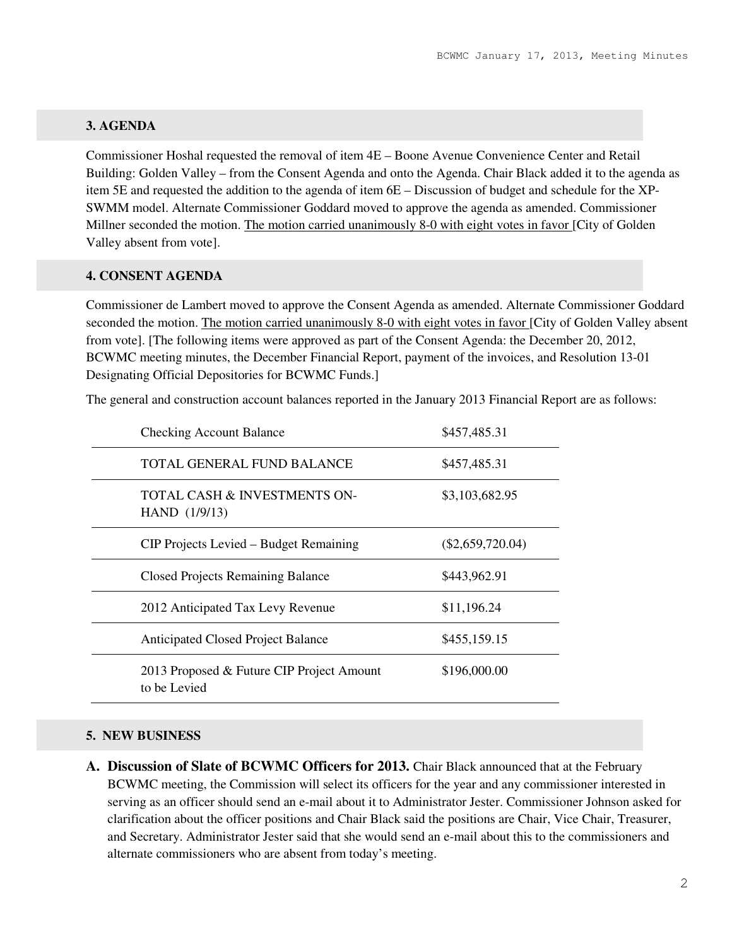## **3. AGENDA**

Commissioner Hoshal requested the removal of item 4E – Boone Avenue Convenience Center and Retail Building: Golden Valley – from the Consent Agenda and onto the Agenda. Chair Black added it to the agenda as item 5E and requested the addition to the agenda of item 6E – Discussion of budget and schedule for the XP-SWMM model. Alternate Commissioner Goddard moved to approve the agenda as amended. Commissioner Millner seconded the motion. The motion carried unanimously 8-0 with eight votes in favor [City of Golden Valley absent from vote].

## **4. CONSENT AGENDA**

Commissioner de Lambert moved to approve the Consent Agenda as amended. Alternate Commissioner Goddard seconded the motion. The motion carried unanimously 8-0 with eight votes in favor [City of Golden Valley absent from vote]. [The following items were approved as part of the Consent Agenda: the December 20, 2012, BCWMC meeting minutes, the December Financial Report, payment of the invoices, and Resolution 13-01 Designating Official Depositories for BCWMC Funds.]

The general and construction account balances reported in the January 2013 Financial Report are as follows:

| <b>Checking Account Balance</b>                           | \$457,485.31       |
|-----------------------------------------------------------|--------------------|
| TOTAL GENERAL FUND BALANCE                                | \$457,485.31       |
| TOTAL CASH & INVESTMENTS ON-<br>HAND (1/9/13)             | \$3,103,682.95     |
| CIP Projects Levied – Budget Remaining                    | $(\$2,659,720.04)$ |
| <b>Closed Projects Remaining Balance</b>                  | \$443,962.91       |
| 2012 Anticipated Tax Levy Revenue                         | \$11,196.24        |
| <b>Anticipated Closed Project Balance</b>                 | \$455,159.15       |
| 2013 Proposed & Future CIP Project Amount<br>to be Levied | \$196,000.00       |

### **5. NEW BUSINESS**

**A. Discussion of Slate of BCWMC Officers for 2013.** Chair Black announced that at the February BCWMC meeting, the Commission will select its officers for the year and any commissioner interested in serving as an officer should send an e-mail about it to Administrator Jester. Commissioner Johnson asked for clarification about the officer positions and Chair Black said the positions are Chair, Vice Chair, Treasurer, and Secretary. Administrator Jester said that she would send an e-mail about this to the commissioners and alternate commissioners who are absent from today's meeting.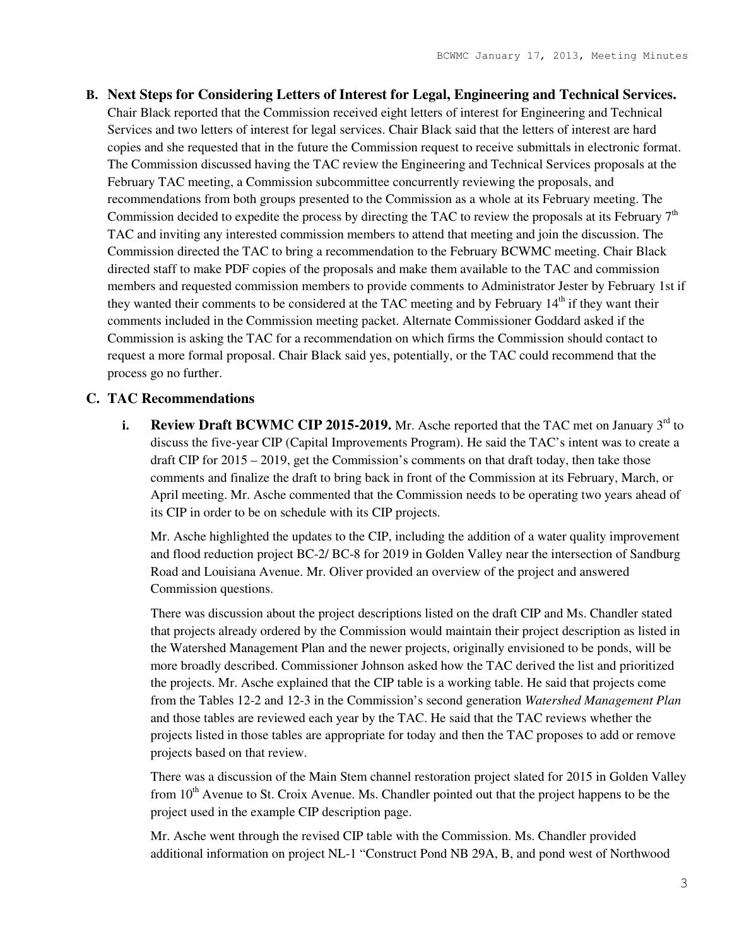**B. Next Steps for Considering Letters of Interest for Legal, Engineering and Technical Services.** Chair Black reported that the Commission received eight letters of interest for Engineering and Technical Services and two letters of interest for legal services. Chair Black said that the letters of interest are hard copies and she requested that in the future the Commission request to receive submittals in electronic format. The Commission discussed having the TAC review the Engineering and Technical Services proposals at the February TAC meeting, a Commission subcommittee concurrently reviewing the proposals, and recommendations from both groups presented to the Commission as a whole at its February meeting. The Commission decided to expedite the process by directing the TAC to review the proposals at its February  $7<sup>th</sup>$ TAC and inviting any interested commission members to attend that meeting and join the discussion. The Commission directed the TAC to bring a recommendation to the February BCWMC meeting. Chair Black directed staff to make PDF copies of the proposals and make them available to the TAC and commission members and requested commission members to provide comments to Administrator Jester by February 1st if they wanted their comments to be considered at the TAC meeting and by February  $14<sup>th</sup>$  if they want their comments included in the Commission meeting packet. Alternate Commissioner Goddard asked if the Commission is asking the TAC for a recommendation on which firms the Commission should contact to request a more formal proposal. Chair Black said yes, potentially, or the TAC could recommend that the process go no further.

### **C. TAC Recommendations**

**i. Review Draft BCWMC CIP 2015-2019.** Mr. Asche reported that the TAC met on January 3<sup>rd</sup> to discuss the five-year CIP (Capital Improvements Program). He said the TAC's intent was to create a draft CIP for 2015 – 2019, get the Commission's comments on that draft today, then take those comments and finalize the draft to bring back in front of the Commission at its February, March, or April meeting. Mr. Asche commented that the Commission needs to be operating two years ahead of its CIP in order to be on schedule with its CIP projects.

Mr. Asche highlighted the updates to the CIP, including the addition of a water quality improvement and flood reduction project BC-2/ BC-8 for 2019 in Golden Valley near the intersection of Sandburg Road and Louisiana Avenue. Mr. Oliver provided an overview of the project and answered Commission questions.

There was discussion about the project descriptions listed on the draft CIP and Ms. Chandler stated that projects already ordered by the Commission would maintain their project description as listed in the Watershed Management Plan and the newer projects, originally envisioned to be ponds, will be more broadly described. Commissioner Johnson asked how the TAC derived the list and prioritized the projects. Mr. Asche explained that the CIP table is a working table. He said that projects come from the Tables 12-2 and 12-3 in the Commission's second generation *Watershed Management Plan* and those tables are reviewed each year by the TAC. He said that the TAC reviews whether the projects listed in those tables are appropriate for today and then the TAC proposes to add or remove projects based on that review.

There was a discussion of the Main Stem channel restoration project slated for 2015 in Golden Valley from  $10<sup>th</sup>$  Avenue to St. Croix Avenue. Ms. Chandler pointed out that the project happens to be the project used in the example CIP description page.

Mr. Asche went through the revised CIP table with the Commission. Ms. Chandler provided additional information on project NL-1 "Construct Pond NB 29A, B, and pond west of Northwood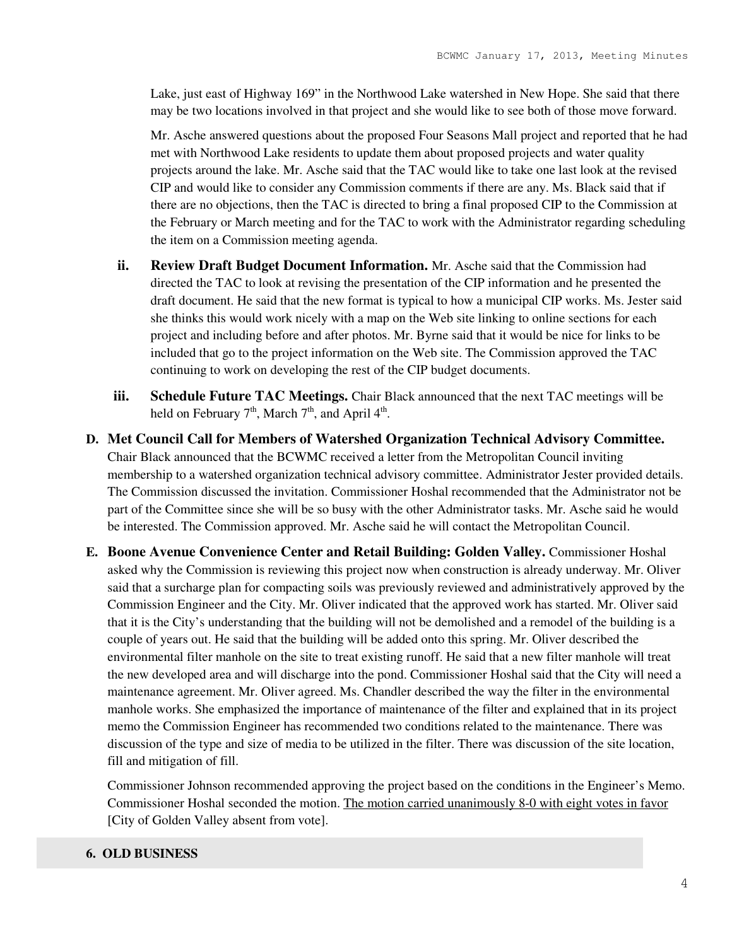Lake, just east of Highway 169" in the Northwood Lake watershed in New Hope. She said that there may be two locations involved in that project and she would like to see both of those move forward.

Mr. Asche answered questions about the proposed Four Seasons Mall project and reported that he had met with Northwood Lake residents to update them about proposed projects and water quality projects around the lake. Mr. Asche said that the TAC would like to take one last look at the revised CIP and would like to consider any Commission comments if there are any. Ms. Black said that if there are no objections, then the TAC is directed to bring a final proposed CIP to the Commission at the February or March meeting and for the TAC to work with the Administrator regarding scheduling the item on a Commission meeting agenda.

- **ii. Review Draft Budget Document Information.** Mr. Asche said that the Commission had directed the TAC to look at revising the presentation of the CIP information and he presented the draft document. He said that the new format is typical to how a municipal CIP works. Ms. Jester said she thinks this would work nicely with a map on the Web site linking to online sections for each project and including before and after photos. Mr. Byrne said that it would be nice for links to be included that go to the project information on the Web site. The Commission approved the TAC continuing to work on developing the rest of the CIP budget documents.
- **iii. Schedule Future TAC Meetings.** Chair Black announced that the next TAC meetings will be held on February  $7<sup>th</sup>$ , March  $7<sup>th</sup>$ , and April 4<sup>th</sup>.
- **D. Met Council Call for Members of Watershed Organization Technical Advisory Committee.** Chair Black announced that the BCWMC received a letter from the Metropolitan Council inviting membership to a watershed organization technical advisory committee. Administrator Jester provided details. The Commission discussed the invitation. Commissioner Hoshal recommended that the Administrator not be part of the Committee since she will be so busy with the other Administrator tasks. Mr. Asche said he would be interested. The Commission approved. Mr. Asche said he will contact the Metropolitan Council.
- **E. Boone Avenue Convenience Center and Retail Building: Golden Valley.** Commissioner Hoshal asked why the Commission is reviewing this project now when construction is already underway. Mr. Oliver said that a surcharge plan for compacting soils was previously reviewed and administratively approved by the Commission Engineer and the City. Mr. Oliver indicated that the approved work has started. Mr. Oliver said that it is the City's understanding that the building will not be demolished and a remodel of the building is a couple of years out. He said that the building will be added onto this spring. Mr. Oliver described the environmental filter manhole on the site to treat existing runoff. He said that a new filter manhole will treat the new developed area and will discharge into the pond. Commissioner Hoshal said that the City will need a maintenance agreement. Mr. Oliver agreed. Ms. Chandler described the way the filter in the environmental manhole works. She emphasized the importance of maintenance of the filter and explained that in its project memo the Commission Engineer has recommended two conditions related to the maintenance. There was discussion of the type and size of media to be utilized in the filter. There was discussion of the site location, fill and mitigation of fill.

Commissioner Johnson recommended approving the project based on the conditions in the Engineer's Memo. Commissioner Hoshal seconded the motion. The motion carried unanimously 8-0 with eight votes in favor [City of Golden Valley absent from vote].

## **6. OLD BUSINESS**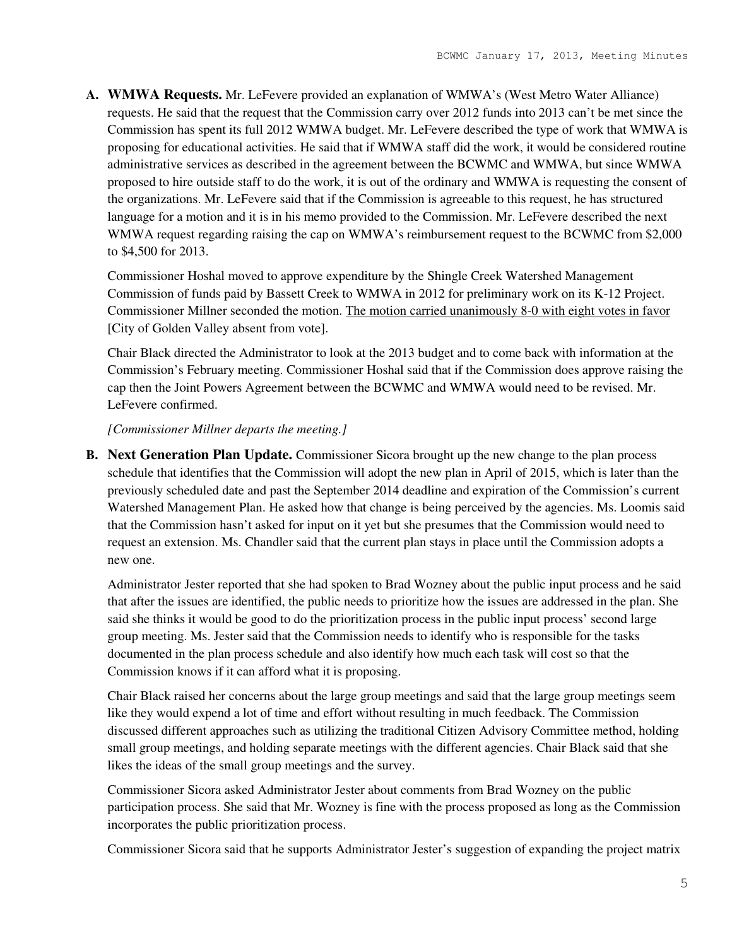**A. WMWA Requests.** Mr. LeFevere provided an explanation of WMWA's (West Metro Water Alliance) requests. He said that the request that the Commission carry over 2012 funds into 2013 can't be met since the Commission has spent its full 2012 WMWA budget. Mr. LeFevere described the type of work that WMWA is proposing for educational activities. He said that if WMWA staff did the work, it would be considered routine administrative services as described in the agreement between the BCWMC and WMWA, but since WMWA proposed to hire outside staff to do the work, it is out of the ordinary and WMWA is requesting the consent of the organizations. Mr. LeFevere said that if the Commission is agreeable to this request, he has structured language for a motion and it is in his memo provided to the Commission. Mr. LeFevere described the next WMWA request regarding raising the cap on WMWA's reimbursement request to the BCWMC from \$2,000 to \$4,500 for 2013.

Commissioner Hoshal moved to approve expenditure by the Shingle Creek Watershed Management Commission of funds paid by Bassett Creek to WMWA in 2012 for preliminary work on its K-12 Project. Commissioner Millner seconded the motion. The motion carried unanimously 8-0 with eight votes in favor [City of Golden Valley absent from vote].

Chair Black directed the Administrator to look at the 2013 budget and to come back with information at the Commission's February meeting. Commissioner Hoshal said that if the Commission does approve raising the cap then the Joint Powers Agreement between the BCWMC and WMWA would need to be revised. Mr. LeFevere confirmed.

## *[Commissioner Millner departs the meeting.]*

**B. Next Generation Plan Update.** Commissioner Sicora brought up the new change to the plan process schedule that identifies that the Commission will adopt the new plan in April of 2015, which is later than the previously scheduled date and past the September 2014 deadline and expiration of the Commission's current Watershed Management Plan. He asked how that change is being perceived by the agencies. Ms. Loomis said that the Commission hasn't asked for input on it yet but she presumes that the Commission would need to request an extension. Ms. Chandler said that the current plan stays in place until the Commission adopts a new one.

Administrator Jester reported that she had spoken to Brad Wozney about the public input process and he said that after the issues are identified, the public needs to prioritize how the issues are addressed in the plan. She said she thinks it would be good to do the prioritization process in the public input process' second large group meeting. Ms. Jester said that the Commission needs to identify who is responsible for the tasks documented in the plan process schedule and also identify how much each task will cost so that the Commission knows if it can afford what it is proposing.

Chair Black raised her concerns about the large group meetings and said that the large group meetings seem like they would expend a lot of time and effort without resulting in much feedback. The Commission discussed different approaches such as utilizing the traditional Citizen Advisory Committee method, holding small group meetings, and holding separate meetings with the different agencies. Chair Black said that she likes the ideas of the small group meetings and the survey.

Commissioner Sicora asked Administrator Jester about comments from Brad Wozney on the public participation process. She said that Mr. Wozney is fine with the process proposed as long as the Commission incorporates the public prioritization process.

Commissioner Sicora said that he supports Administrator Jester's suggestion of expanding the project matrix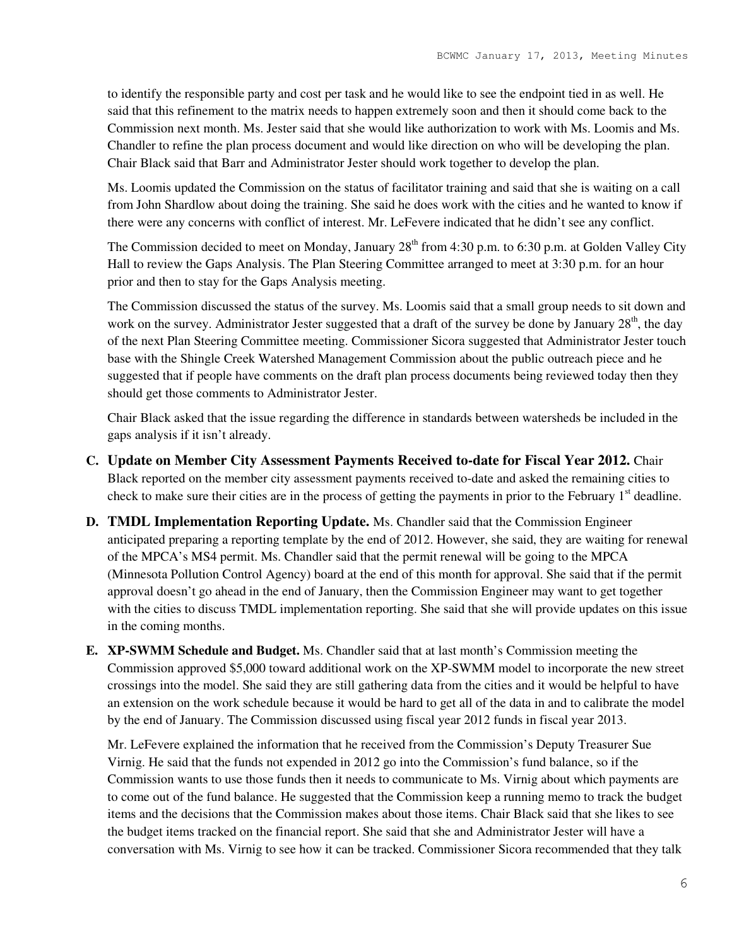to identify the responsible party and cost per task and he would like to see the endpoint tied in as well. He said that this refinement to the matrix needs to happen extremely soon and then it should come back to the Commission next month. Ms. Jester said that she would like authorization to work with Ms. Loomis and Ms. Chandler to refine the plan process document and would like direction on who will be developing the plan. Chair Black said that Barr and Administrator Jester should work together to develop the plan.

Ms. Loomis updated the Commission on the status of facilitator training and said that she is waiting on a call from John Shardlow about doing the training. She said he does work with the cities and he wanted to know if there were any concerns with conflict of interest. Mr. LeFevere indicated that he didn't see any conflict.

The Commission decided to meet on Monday, January 28<sup>th</sup> from 4:30 p.m. to 6:30 p.m. at Golden Valley City Hall to review the Gaps Analysis. The Plan Steering Committee arranged to meet at 3:30 p.m. for an hour prior and then to stay for the Gaps Analysis meeting.

The Commission discussed the status of the survey. Ms. Loomis said that a small group needs to sit down and work on the survey. Administrator Jester suggested that a draft of the survey be done by January  $28<sup>th</sup>$ , the day of the next Plan Steering Committee meeting. Commissioner Sicora suggested that Administrator Jester touch base with the Shingle Creek Watershed Management Commission about the public outreach piece and he suggested that if people have comments on the draft plan process documents being reviewed today then they should get those comments to Administrator Jester.

Chair Black asked that the issue regarding the difference in standards between watersheds be included in the gaps analysis if it isn't already.

- **C. Update on Member City Assessment Payments Received to-date for Fiscal Year 2012.** Chair Black reported on the member city assessment payments received to-date and asked the remaining cities to check to make sure their cities are in the process of getting the payments in prior to the February  $1<sup>st</sup>$  deadline.
- **D. TMDL Implementation Reporting Update.** Ms. Chandler said that the Commission Engineer anticipated preparing a reporting template by the end of 2012. However, she said, they are waiting for renewal of the MPCA's MS4 permit. Ms. Chandler said that the permit renewal will be going to the MPCA (Minnesota Pollution Control Agency) board at the end of this month for approval. She said that if the permit approval doesn't go ahead in the end of January, then the Commission Engineer may want to get together with the cities to discuss TMDL implementation reporting. She said that she will provide updates on this issue in the coming months.
- **E. XP-SWMM Schedule and Budget.** Ms. Chandler said that at last month's Commission meeting the Commission approved \$5,000 toward additional work on the XP-SWMM model to incorporate the new street crossings into the model. She said they are still gathering data from the cities and it would be helpful to have an extension on the work schedule because it would be hard to get all of the data in and to calibrate the model by the end of January. The Commission discussed using fiscal year 2012 funds in fiscal year 2013.

Mr. LeFevere explained the information that he received from the Commission's Deputy Treasurer Sue Virnig. He said that the funds not expended in 2012 go into the Commission's fund balance, so if the Commission wants to use those funds then it needs to communicate to Ms. Virnig about which payments are to come out of the fund balance. He suggested that the Commission keep a running memo to track the budget items and the decisions that the Commission makes about those items. Chair Black said that she likes to see the budget items tracked on the financial report. She said that she and Administrator Jester will have a conversation with Ms. Virnig to see how it can be tracked. Commissioner Sicora recommended that they talk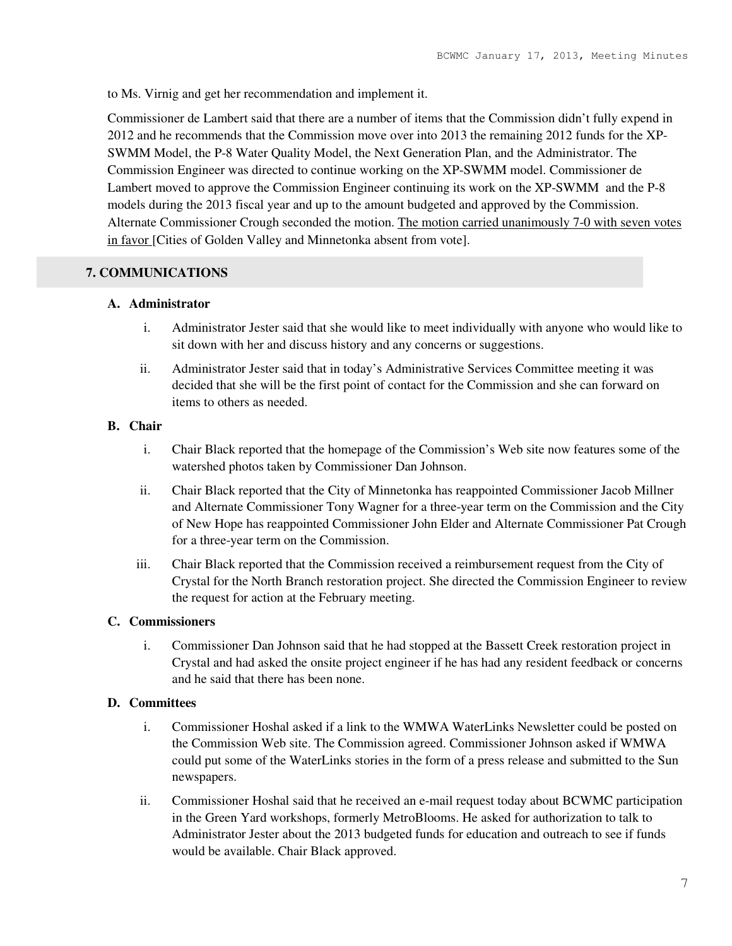to Ms. Virnig and get her recommendation and implement it.

Commissioner de Lambert said that there are a number of items that the Commission didn't fully expend in 2012 and he recommends that the Commission move over into 2013 the remaining 2012 funds for the XP-SWMM Model, the P-8 Water Quality Model, the Next Generation Plan, and the Administrator. The Commission Engineer was directed to continue working on the XP-SWMM model. Commissioner de Lambert moved to approve the Commission Engineer continuing its work on the XP-SWMM and the P-8 models during the 2013 fiscal year and up to the amount budgeted and approved by the Commission. Alternate Commissioner Crough seconded the motion. The motion carried unanimously 7-0 with seven votes in favor [Cities of Golden Valley and Minnetonka absent from vote].

# **7. COMMUNICATIONS**

### **A. Administrator**

- i. Administrator Jester said that she would like to meet individually with anyone who would like to sit down with her and discuss history and any concerns or suggestions.
- ii. Administrator Jester said that in today's Administrative Services Committee meeting it was decided that she will be the first point of contact for the Commission and she can forward on items to others as needed.

## **B. Chair**

- i. Chair Black reported that the homepage of the Commission's Web site now features some of the watershed photos taken by Commissioner Dan Johnson.
- ii. Chair Black reported that the City of Minnetonka has reappointed Commissioner Jacob Millner and Alternate Commissioner Tony Wagner for a three-year term on the Commission and the City of New Hope has reappointed Commissioner John Elder and Alternate Commissioner Pat Crough for a three-year term on the Commission.
- iii. Chair Black reported that the Commission received a reimbursement request from the City of Crystal for the North Branch restoration project. She directed the Commission Engineer to review the request for action at the February meeting.

# **C. Commissioners**

i. Commissioner Dan Johnson said that he had stopped at the Bassett Creek restoration project in Crystal and had asked the onsite project engineer if he has had any resident feedback or concerns and he said that there has been none.

### **D. Committees**

- i. Commissioner Hoshal asked if a link to the WMWA WaterLinks Newsletter could be posted on the Commission Web site. The Commission agreed. Commissioner Johnson asked if WMWA could put some of the WaterLinks stories in the form of a press release and submitted to the Sun newspapers.
- ii. Commissioner Hoshal said that he received an e-mail request today about BCWMC participation in the Green Yard workshops, formerly MetroBlooms. He asked for authorization to talk to Administrator Jester about the 2013 budgeted funds for education and outreach to see if funds would be available. Chair Black approved.